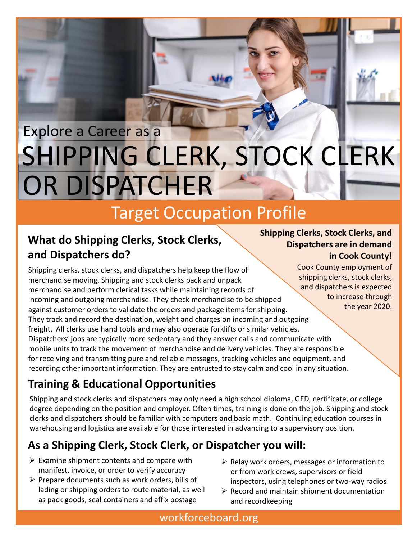# SHIPPING CLERK, STOCK CLERK Explore a Career as a OR DISPATCHER

## Target Occupation Profile

#### **What do Shipping Clerks, Stock Clerks, and Dispatchers do?**

Shipping clerks, stock clerks, and dispatchers help keep the flow of merchandise moving. Shipping and stock clerks pack and unpack merchandise and perform clerical tasks while maintaining records of incoming and outgoing merchandise. They check merchandise to be shipped against customer orders to validate the orders and package items for shipping. They track and record the destination, weight and charges on incoming and outgoing freight. All clerks use hand tools and may also operate forklifts or similar vehicles. Dispatchers' jobs are typically more sedentary and they answer calls and communicate with mobile units to track the movement of merchandise and delivery vehicles. They are responsible for receiving and transmitting pure and reliable messages, tracking vehicles and equipment, and recording other important information. They are entrusted to stay calm and cool in any situation.

#### **Training & Educational Opportunities**

Shipping and stock clerks and dispatchers may only need a high school diploma, GED, certificate, or college degree depending on the position and employer. Often times, training is done on the job. Shipping and stock clerks and dispatchers should be familiar with computers and basic math. Continuing education courses in warehousing and logistics are available for those interested in advancing to a supervisory position.

#### **As a Shipping Clerk, Stock Clerk, or Dispatcher you will:**

- $\triangleright$  Examine shipment contents and compare with manifest, invoice, or order to verify accuracy
- $\triangleright$  Prepare documents such as work orders, bills of lading or shipping orders to route material, as well as pack goods, seal containers and affix postage
- $\triangleright$  Relay work orders, messages or information to or from work crews, supervisors or field inspectors, using telephones or two-way radios
- $\triangleright$  Record and maintain shipment documentation and recordkeeping

**Shipping Clerks, Stock Clerks, and Dispatchers are in demand in Cook County!**

> Cook County employment of shipping clerks, stock clerks, and dispatchers is expected to increase through the year 2020.